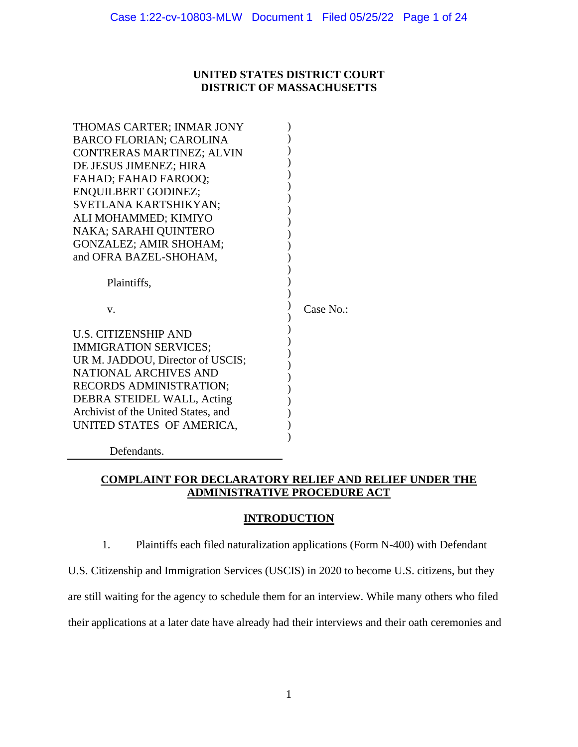# **UNITED STATES DISTRICT COURT DISTRICT OF MASSACHUSETTS**

| THOMAS CARTER; INMAR JONY                                       |           |
|-----------------------------------------------------------------|-----------|
| <b>BARCO FLORIAN; CAROLINA</b>                                  |           |
| CONTRERAS MARTINEZ; ALVIN                                       |           |
| DE JESUS JIMENEZ; HIRA                                          |           |
| FAHAD; FAHAD FAROOQ;                                            |           |
| <b>ENQUILBERT GODINEZ;</b>                                      |           |
| SVETLANA KARTSHIKYAN;                                           |           |
| ALI MOHAMMED; KIMIYO                                            |           |
| NAKA; SARAHI QUINTERO                                           |           |
| GONZALEZ; AMIR SHOHAM;                                          |           |
| and OFRA BAZEL-SHOHAM,                                          |           |
|                                                                 |           |
| Plaintiffs,                                                     |           |
|                                                                 |           |
| V.                                                              | Case No.: |
|                                                                 |           |
|                                                                 |           |
| <b>U.S. CITIZENSHIP AND</b>                                     |           |
| <b>IMMIGRATION SERVICES;</b>                                    |           |
| UR M. JADDOU, Director of USCIS;                                |           |
| <b>NATIONAL ARCHIVES AND</b>                                    |           |
| RECORDS ADMINISTRATION;                                         |           |
| DEBRA STEIDEL WALL, Acting                                      |           |
| Archivist of the United States, and                             |           |
| UNITED STATES OF AMERICA,                                       |           |
| $\mathbf{D} \cdot \mathbf{C}$ and $\mathbf{I}$ and $\mathbf{C}$ |           |

Defendants.

# **COMPLAINT FOR DECLARATORY RELIEF AND RELIEF UNDER THE ADMINISTRATIVE PROCEDURE ACT**

# **INTRODUCTION**

1. Plaintiffs each filed naturalization applications (Form N-400) with Defendant

U.S. Citizenship and Immigration Services (USCIS) in 2020 to become U.S. citizens, but they are still waiting for the agency to schedule them for an interview. While many others who filed

their applications at a later date have already had their interviews and their oath ceremonies and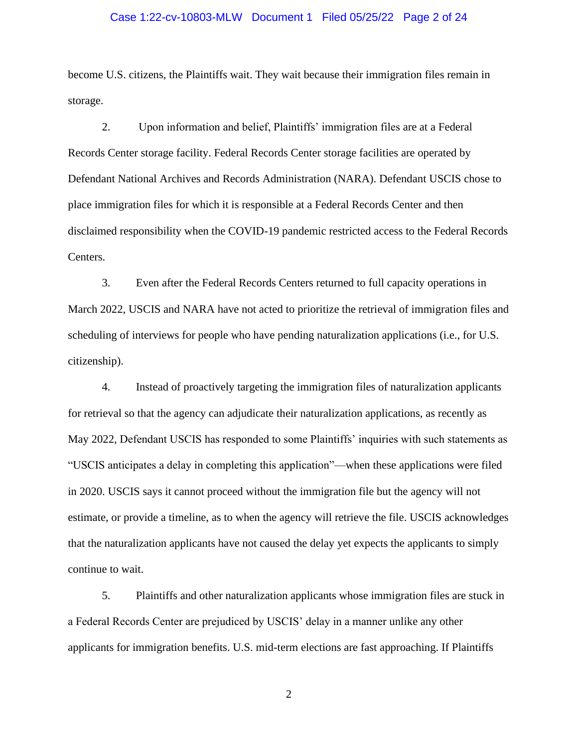### Case 1:22-cv-10803-MLW Document 1 Filed 05/25/22 Page 2 of 24

become U.S. citizens, the Plaintiffs wait. They wait because their immigration files remain in storage.

2. Upon information and belief, Plaintiffs' immigration files are at a Federal Records Center storage facility. Federal Records Center storage facilities are operated by Defendant National Archives and Records Administration (NARA). Defendant USCIS chose to place immigration files for which it is responsible at a Federal Records Center and then disclaimed responsibility when the COVID-19 pandemic restricted access to the Federal Records Centers.

3. Even after the Federal Records Centers returned to full capacity operations in March 2022, USCIS and NARA have not acted to prioritize the retrieval of immigration files and scheduling of interviews for people who have pending naturalization applications (i.e., for U.S. citizenship).

4. Instead of proactively targeting the immigration files of naturalization applicants for retrieval so that the agency can adjudicate their naturalization applications, as recently as May 2022, Defendant USCIS has responded to some Plaintiffs' inquiries with such statements as "USCIS anticipates a delay in completing this application"—when these applications were filed in 2020. USCIS says it cannot proceed without the immigration file but the agency will not estimate, or provide a timeline, as to when the agency will retrieve the file. USCIS acknowledges that the naturalization applicants have not caused the delay yet expects the applicants to simply continue to wait.

5. Plaintiffs and other naturalization applicants whose immigration files are stuck in a Federal Records Center are prejudiced by USCIS' delay in a manner unlike any other applicants for immigration benefits. U.S. mid-term elections are fast approaching. If Plaintiffs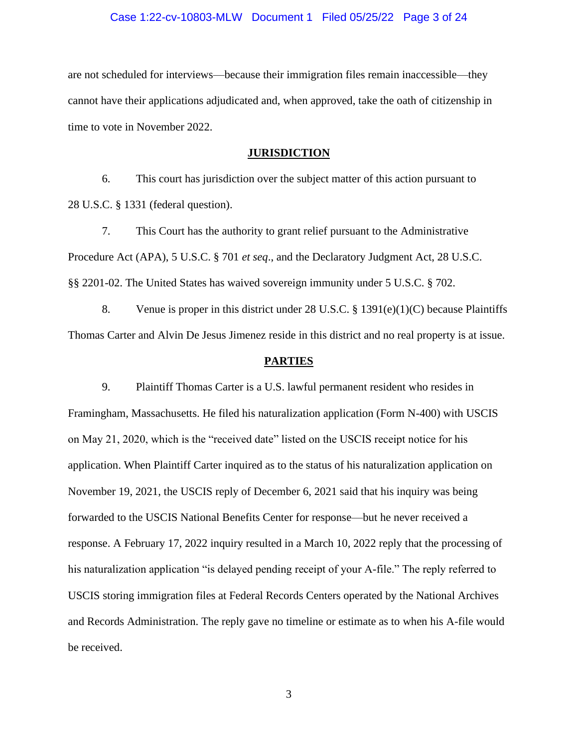### Case 1:22-cv-10803-MLW Document 1 Filed 05/25/22 Page 3 of 24

are not scheduled for interviews—because their immigration files remain inaccessible—they cannot have their applications adjudicated and, when approved, take the oath of citizenship in time to vote in November 2022.

#### **JURISDICTION**

6. This court has jurisdiction over the subject matter of this action pursuant to 28 U.S.C. § 1331 (federal question).

7. This Court has the authority to grant relief pursuant to the Administrative Procedure Act (APA), 5 U.S.C. § 701 *et seq*., and the Declaratory Judgment Act, 28 U.S.C. §§ 2201-02. The United States has waived sovereign immunity under 5 U.S.C. § 702.

8. Venue is proper in this district under 28 U.S.C. § 1391(e)(1)(C) because Plaintiffs Thomas Carter and Alvin De Jesus Jimenez reside in this district and no real property is at issue.

### **PARTIES**

9. Plaintiff Thomas Carter is a U.S. lawful permanent resident who resides in Framingham, Massachusetts. He filed his naturalization application (Form N-400) with USCIS on May 21, 2020, which is the "received date" listed on the USCIS receipt notice for his application. When Plaintiff Carter inquired as to the status of his naturalization application on November 19, 2021, the USCIS reply of December 6, 2021 said that his inquiry was being forwarded to the USCIS National Benefits Center for response—but he never received a response. A February 17, 2022 inquiry resulted in a March 10, 2022 reply that the processing of his naturalization application "is delayed pending receipt of your A-file." The reply referred to USCIS storing immigration files at Federal Records Centers operated by the National Archives and Records Administration. The reply gave no timeline or estimate as to when his A-file would be received.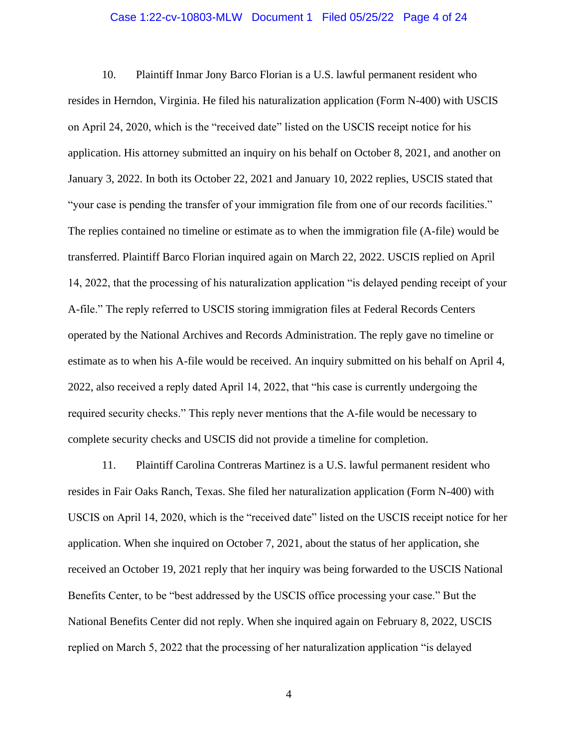### Case 1:22-cv-10803-MLW Document 1 Filed 05/25/22 Page 4 of 24

10. Plaintiff Inmar Jony Barco Florian is a U.S. lawful permanent resident who resides in Herndon, Virginia. He filed his naturalization application (Form N-400) with USCIS on April 24, 2020, which is the "received date" listed on the USCIS receipt notice for his application. His attorney submitted an inquiry on his behalf on October 8, 2021, and another on January 3, 2022. In both its October 22, 2021 and January 10, 2022 replies, USCIS stated that "your case is pending the transfer of your immigration file from one of our records facilities." The replies contained no timeline or estimate as to when the immigration file (A-file) would be transferred. Plaintiff Barco Florian inquired again on March 22, 2022. USCIS replied on April 14, 2022, that the processing of his naturalization application "is delayed pending receipt of your A-file." The reply referred to USCIS storing immigration files at Federal Records Centers operated by the National Archives and Records Administration. The reply gave no timeline or estimate as to when his A-file would be received. An inquiry submitted on his behalf on April 4, 2022, also received a reply dated April 14, 2022, that "his case is currently undergoing the required security checks." This reply never mentions that the A-file would be necessary to complete security checks and USCIS did not provide a timeline for completion.

11. Plaintiff Carolina Contreras Martinez is a U.S. lawful permanent resident who resides in Fair Oaks Ranch, Texas. She filed her naturalization application (Form N-400) with USCIS on April 14, 2020, which is the "received date" listed on the USCIS receipt notice for her application. When she inquired on October 7, 2021, about the status of her application, she received an October 19, 2021 reply that her inquiry was being forwarded to the USCIS National Benefits Center, to be "best addressed by the USCIS office processing your case." But the National Benefits Center did not reply. When she inquired again on February 8, 2022, USCIS replied on March 5, 2022 that the processing of her naturalization application "is delayed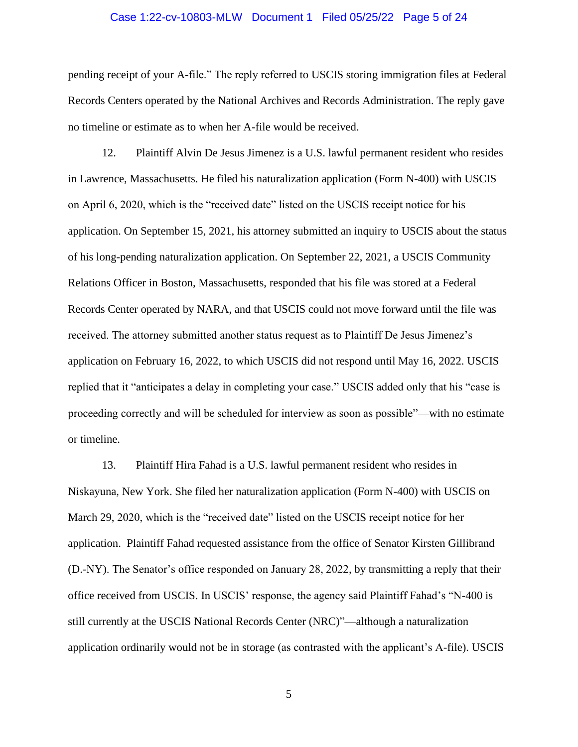### Case 1:22-cv-10803-MLW Document 1 Filed 05/25/22 Page 5 of 24

pending receipt of your A-file." The reply referred to USCIS storing immigration files at Federal Records Centers operated by the National Archives and Records Administration. The reply gave no timeline or estimate as to when her A-file would be received.

12. Plaintiff Alvin De Jesus Jimenez is a U.S. lawful permanent resident who resides in Lawrence, Massachusetts. He filed his naturalization application (Form N-400) with USCIS on April 6, 2020, which is the "received date" listed on the USCIS receipt notice for his application. On September 15, 2021, his attorney submitted an inquiry to USCIS about the status of his long-pending naturalization application. On September 22, 2021, a USCIS Community Relations Officer in Boston, Massachusetts, responded that his file was stored at a Federal Records Center operated by NARA, and that USCIS could not move forward until the file was received. The attorney submitted another status request as to Plaintiff De Jesus Jimenez's application on February 16, 2022, to which USCIS did not respond until May 16, 2022. USCIS replied that it "anticipates a delay in completing your case." USCIS added only that his "case is proceeding correctly and will be scheduled for interview as soon as possible"—with no estimate or timeline.

13. Plaintiff Hira Fahad is a U.S. lawful permanent resident who resides in Niskayuna, New York. She filed her naturalization application (Form N-400) with USCIS on March 29, 2020, which is the "received date" listed on the USCIS receipt notice for her application. Plaintiff Fahad requested assistance from the office of Senator Kirsten Gillibrand (D.-NY). The Senator's office responded on January 28, 2022, by transmitting a reply that their office received from USCIS. In USCIS' response, the agency said Plaintiff Fahad's "N-400 is still currently at the USCIS National Records Center (NRC)"—although a naturalization application ordinarily would not be in storage (as contrasted with the applicant's A-file). USCIS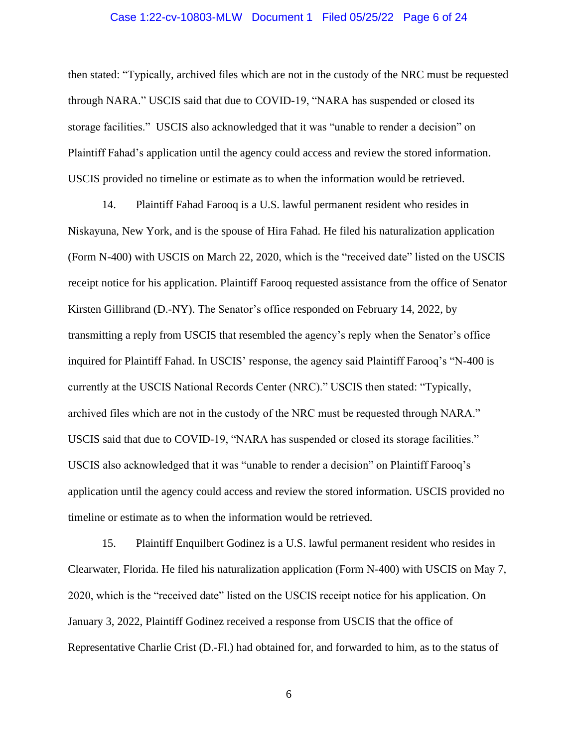### Case 1:22-cv-10803-MLW Document 1 Filed 05/25/22 Page 6 of 24

then stated: "Typically, archived files which are not in the custody of the NRC must be requested through NARA." USCIS said that due to COVID-19, "NARA has suspended or closed its storage facilities." USCIS also acknowledged that it was "unable to render a decision" on Plaintiff Fahad's application until the agency could access and review the stored information. USCIS provided no timeline or estimate as to when the information would be retrieved.

14. Plaintiff Fahad Farooq is a U.S. lawful permanent resident who resides in Niskayuna, New York, and is the spouse of Hira Fahad. He filed his naturalization application (Form N-400) with USCIS on March 22, 2020, which is the "received date" listed on the USCIS receipt notice for his application. Plaintiff Farooq requested assistance from the office of Senator Kirsten Gillibrand (D.-NY). The Senator's office responded on February 14, 2022, by transmitting a reply from USCIS that resembled the agency's reply when the Senator's office inquired for Plaintiff Fahad. In USCIS' response, the agency said Plaintiff Farooq's "N-400 is currently at the USCIS National Records Center (NRC)." USCIS then stated: "Typically, archived files which are not in the custody of the NRC must be requested through NARA." USCIS said that due to COVID-19, "NARA has suspended or closed its storage facilities." USCIS also acknowledged that it was "unable to render a decision" on Plaintiff Farooq's application until the agency could access and review the stored information. USCIS provided no timeline or estimate as to when the information would be retrieved.

15. Plaintiff Enquilbert Godinez is a U.S. lawful permanent resident who resides in Clearwater, Florida. He filed his naturalization application (Form N-400) with USCIS on May 7, 2020, which is the "received date" listed on the USCIS receipt notice for his application. On January 3, 2022, Plaintiff Godinez received a response from USCIS that the office of Representative Charlie Crist (D.-Fl.) had obtained for, and forwarded to him, as to the status of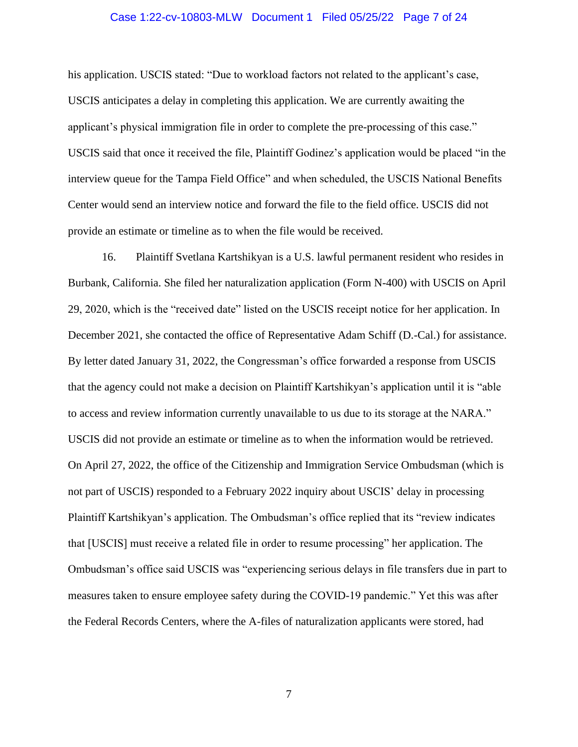## Case 1:22-cv-10803-MLW Document 1 Filed 05/25/22 Page 7 of 24

his application. USCIS stated: "Due to workload factors not related to the applicant's case, USCIS anticipates a delay in completing this application. We are currently awaiting the applicant's physical immigration file in order to complete the pre-processing of this case." USCIS said that once it received the file, Plaintiff Godinez's application would be placed "in the interview queue for the Tampa Field Office" and when scheduled, the USCIS National Benefits Center would send an interview notice and forward the file to the field office. USCIS did not provide an estimate or timeline as to when the file would be received.

16. Plaintiff Svetlana Kartshikyan is a U.S. lawful permanent resident who resides in Burbank, California. She filed her naturalization application (Form N-400) with USCIS on April 29, 2020, which is the "received date" listed on the USCIS receipt notice for her application. In December 2021, she contacted the office of Representative Adam Schiff (D.-Cal.) for assistance. By letter dated January 31, 2022, the Congressman's office forwarded a response from USCIS that the agency could not make a decision on Plaintiff Kartshikyan's application until it is "able to access and review information currently unavailable to us due to its storage at the NARA." USCIS did not provide an estimate or timeline as to when the information would be retrieved. On April 27, 2022, the office of the Citizenship and Immigration Service Ombudsman (which is not part of USCIS) responded to a February 2022 inquiry about USCIS' delay in processing Plaintiff Kartshikyan's application. The Ombudsman's office replied that its "review indicates that [USCIS] must receive a related file in order to resume processing" her application. The Ombudsman's office said USCIS was "experiencing serious delays in file transfers due in part to measures taken to ensure employee safety during the COVID-19 pandemic." Yet this was after the Federal Records Centers, where the A-files of naturalization applicants were stored, had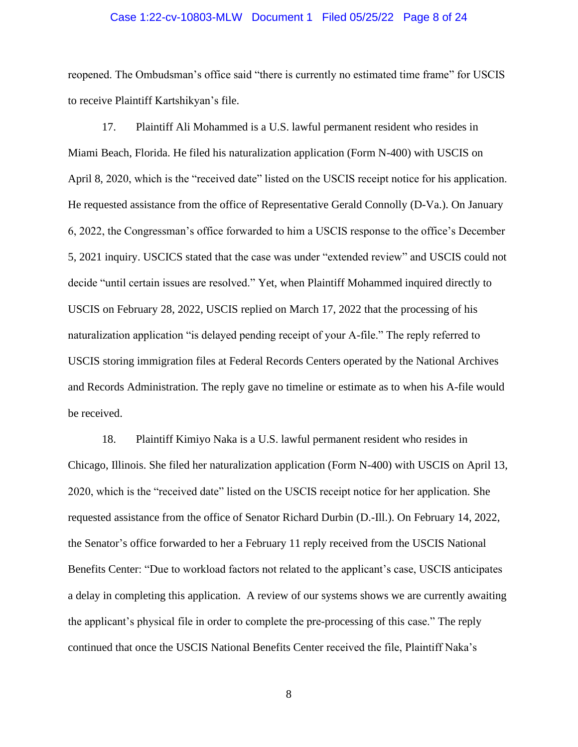### Case 1:22-cv-10803-MLW Document 1 Filed 05/25/22 Page 8 of 24

reopened. The Ombudsman's office said "there is currently no estimated time frame" for USCIS to receive Plaintiff Kartshikyan's file.

17. Plaintiff Ali Mohammed is a U.S. lawful permanent resident who resides in Miami Beach, Florida. He filed his naturalization application (Form N-400) with USCIS on April 8, 2020, which is the "received date" listed on the USCIS receipt notice for his application. He requested assistance from the office of Representative Gerald Connolly (D-Va.). On January 6, 2022, the Congressman's office forwarded to him a USCIS response to the office's December 5, 2021 inquiry. USCICS stated that the case was under "extended review" and USCIS could not decide "until certain issues are resolved." Yet, when Plaintiff Mohammed inquired directly to USCIS on February 28, 2022, USCIS replied on March 17, 2022 that the processing of his naturalization application "is delayed pending receipt of your A-file." The reply referred to USCIS storing immigration files at Federal Records Centers operated by the National Archives and Records Administration. The reply gave no timeline or estimate as to when his A-file would be received.

18. Plaintiff Kimiyo Naka is a U.S. lawful permanent resident who resides in Chicago, Illinois. She filed her naturalization application (Form N-400) with USCIS on April 13, 2020, which is the "received date" listed on the USCIS receipt notice for her application. She requested assistance from the office of Senator Richard Durbin (D.-Ill.). On February 14, 2022, the Senator's office forwarded to her a February 11 reply received from the USCIS National Benefits Center: "Due to workload factors not related to the applicant's case, USCIS anticipates a delay in completing this application. A review of our systems shows we are currently awaiting the applicant's physical file in order to complete the pre-processing of this case." The reply continued that once the USCIS National Benefits Center received the file, Plaintiff Naka's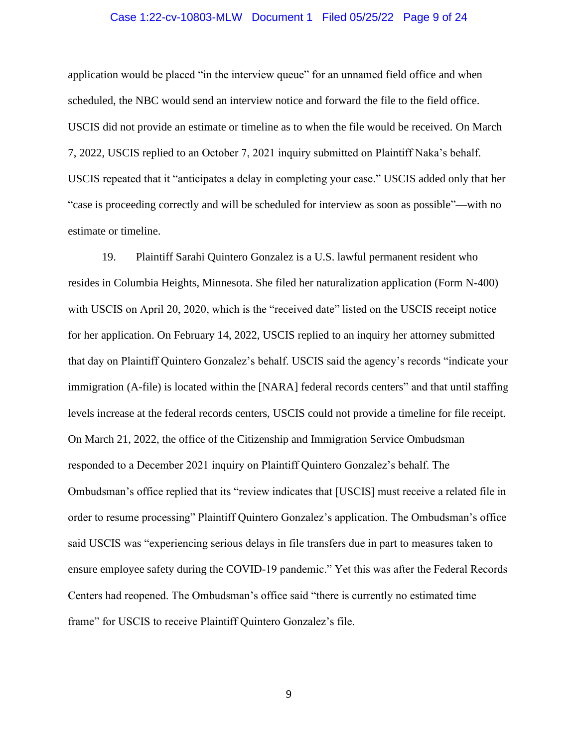## Case 1:22-cv-10803-MLW Document 1 Filed 05/25/22 Page 9 of 24

application would be placed "in the interview queue" for an unnamed field office and when scheduled, the NBC would send an interview notice and forward the file to the field office. USCIS did not provide an estimate or timeline as to when the file would be received. On March 7, 2022, USCIS replied to an October 7, 2021 inquiry submitted on Plaintiff Naka's behalf. USCIS repeated that it "anticipates a delay in completing your case." USCIS added only that her "case is proceeding correctly and will be scheduled for interview as soon as possible"—with no estimate or timeline.

19. Plaintiff Sarahi Quintero Gonzalez is a U.S. lawful permanent resident who resides in Columbia Heights, Minnesota. She filed her naturalization application (Form N-400) with USCIS on April 20, 2020, which is the "received date" listed on the USCIS receipt notice for her application. On February 14, 2022, USCIS replied to an inquiry her attorney submitted that day on Plaintiff Quintero Gonzalez's behalf. USCIS said the agency's records "indicate your immigration (A-file) is located within the [NARA] federal records centers" and that until staffing levels increase at the federal records centers, USCIS could not provide a timeline for file receipt. On March 21, 2022, the office of the Citizenship and Immigration Service Ombudsman responded to a December 2021 inquiry on Plaintiff Quintero Gonzalez's behalf. The Ombudsman's office replied that its "review indicates that [USCIS] must receive a related file in order to resume processing" Plaintiff Quintero Gonzalez's application. The Ombudsman's office said USCIS was "experiencing serious delays in file transfers due in part to measures taken to ensure employee safety during the COVID-19 pandemic." Yet this was after the Federal Records Centers had reopened. The Ombudsman's office said "there is currently no estimated time frame" for USCIS to receive Plaintiff Quintero Gonzalez's file.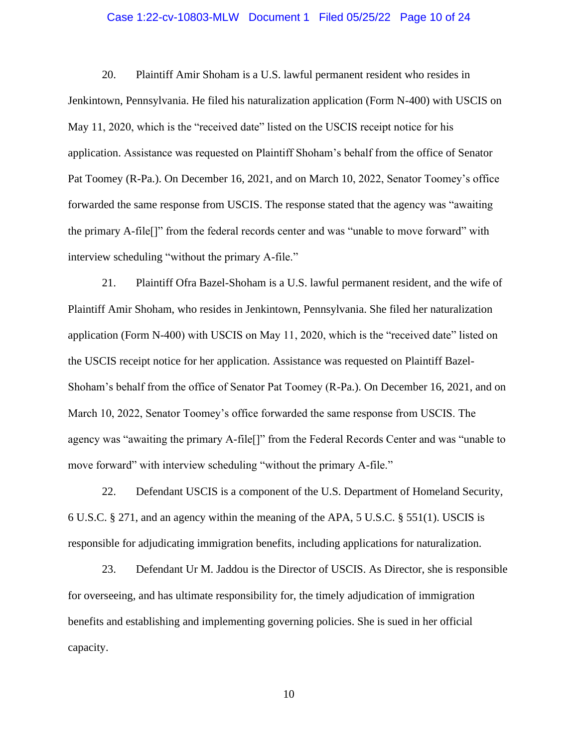## Case 1:22-cv-10803-MLW Document 1 Filed 05/25/22 Page 10 of 24

20. Plaintiff Amir Shoham is a U.S. lawful permanent resident who resides in Jenkintown, Pennsylvania. He filed his naturalization application (Form N-400) with USCIS on May 11, 2020, which is the "received date" listed on the USCIS receipt notice for his application. Assistance was requested on Plaintiff Shoham's behalf from the office of Senator Pat Toomey (R-Pa.). On December 16, 2021, and on March 10, 2022, Senator Toomey's office forwarded the same response from USCIS. The response stated that the agency was "awaiting the primary A-file[]" from the federal records center and was "unable to move forward" with interview scheduling "without the primary A-file."

21. Plaintiff Ofra Bazel-Shoham is a U.S. lawful permanent resident, and the wife of Plaintiff Amir Shoham, who resides in Jenkintown, Pennsylvania. She filed her naturalization application (Form N-400) with USCIS on May 11, 2020, which is the "received date" listed on the USCIS receipt notice for her application. Assistance was requested on Plaintiff Bazel-Shoham's behalf from the office of Senator Pat Toomey (R-Pa.). On December 16, 2021, and on March 10, 2022, Senator Toomey's office forwarded the same response from USCIS. The agency was "awaiting the primary A-file[]" from the Federal Records Center and was "unable to move forward" with interview scheduling "without the primary A-file."

22. Defendant USCIS is a component of the U.S. Department of Homeland Security, 6 U.S.C. § 271, and an agency within the meaning of the APA, 5 U.S.C. § 551(1). USCIS is responsible for adjudicating immigration benefits, including applications for naturalization.

23. Defendant Ur M. Jaddou is the Director of USCIS. As Director, she is responsible for overseeing, and has ultimate responsibility for, the timely adjudication of immigration benefits and establishing and implementing governing policies. She is sued in her official capacity.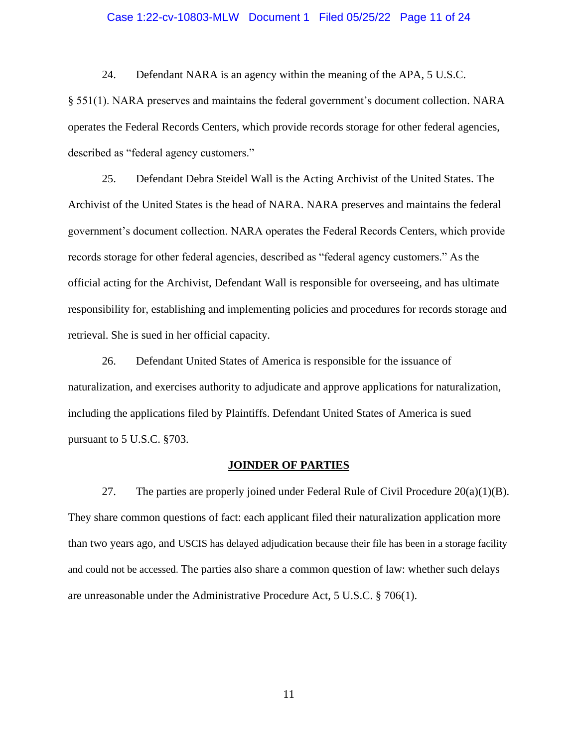## Case 1:22-cv-10803-MLW Document 1 Filed 05/25/22 Page 11 of 24

24. Defendant NARA is an agency within the meaning of the APA, 5 U.S.C.

§ 551(1). NARA preserves and maintains the federal government's document collection. NARA operates the Federal Records Centers, which provide records storage for other federal agencies, described as "federal agency customers."

25. Defendant Debra Steidel Wall is the Acting Archivist of the United States. The Archivist of the United States is the head of NARA. NARA preserves and maintains the federal government's document collection. NARA operates the Federal Records Centers, which provide records storage for other federal agencies, described as "federal agency customers." As the official acting for the Archivist, Defendant Wall is responsible for overseeing, and has ultimate responsibility for, establishing and implementing policies and procedures for records storage and retrieval. She is sued in her official capacity.

26. Defendant United States of America is responsible for the issuance of naturalization, and exercises authority to adjudicate and approve applications for naturalization, including the applications filed by Plaintiffs. Defendant United States of America is sued pursuant to 5 U.S.C. §703.

### **JOINDER OF PARTIES**

27. The parties are properly joined under Federal Rule of Civil Procedure  $20(a)(1)(B)$ . They share common questions of fact: each applicant filed their naturalization application more than two years ago, and USCIS has delayed adjudication because their file has been in a storage facility and could not be accessed. The parties also share a common question of law: whether such delays are unreasonable under the Administrative Procedure Act, 5 U.S.C. § 706(1).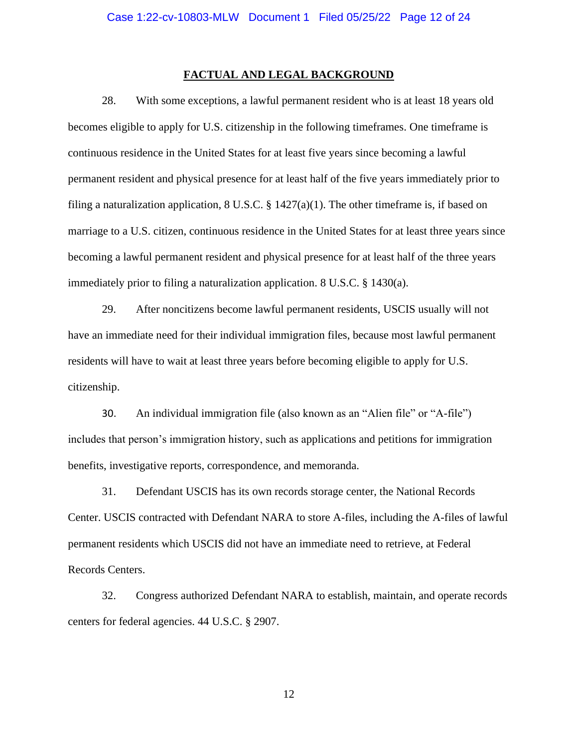#### **FACTUAL AND LEGAL BACKGROUND**

28. With some exceptions, a lawful permanent resident who is at least 18 years old becomes eligible to apply for U.S. citizenship in the following timeframes. One timeframe is continuous residence in the United States for at least five years since becoming a lawful permanent resident and physical presence for at least half of the five years immediately prior to filing a naturalization application, 8 U.S.C.  $\S 1427(a)(1)$ . The other timeframe is, if based on marriage to a U.S. citizen, continuous residence in the United States for at least three years since becoming a lawful permanent resident and physical presence for at least half of the three years immediately prior to filing a naturalization application. 8 U.S.C. § 1430(a).

29. After noncitizens become lawful permanent residents, USCIS usually will not have an immediate need for their individual immigration files, because most lawful permanent residents will have to wait at least three years before becoming eligible to apply for U.S. citizenship.

30. An individual immigration file (also known as an "Alien file" or "A-file") includes that person's immigration history, such as applications and petitions for immigration benefits, investigative reports, correspondence, and memoranda.

31. Defendant USCIS has its own records storage center, the National Records Center. USCIS contracted with Defendant NARA to store A-files, including the A-files of lawful permanent residents which USCIS did not have an immediate need to retrieve, at Federal Records Centers.

32. Congress authorized Defendant NARA to establish, maintain, and operate records centers for federal agencies. 44 U.S.C. § 2907.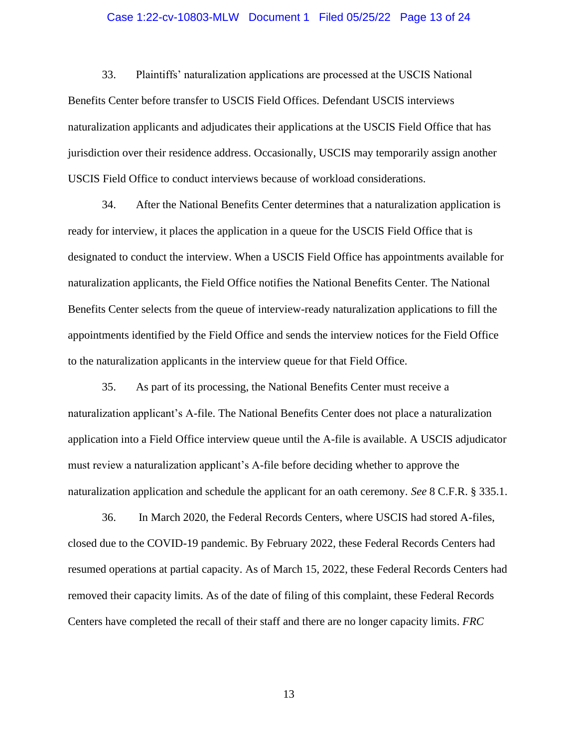### Case 1:22-cv-10803-MLW Document 1 Filed 05/25/22 Page 13 of 24

33. Plaintiffs' naturalization applications are processed at the USCIS National Benefits Center before transfer to USCIS Field Offices. Defendant USCIS interviews naturalization applicants and adjudicates their applications at the USCIS Field Office that has jurisdiction over their residence address. Occasionally, USCIS may temporarily assign another USCIS Field Office to conduct interviews because of workload considerations.

34. After the National Benefits Center determines that a naturalization application is ready for interview, it places the application in a queue for the USCIS Field Office that is designated to conduct the interview. When a USCIS Field Office has appointments available for naturalization applicants, the Field Office notifies the National Benefits Center. The National Benefits Center selects from the queue of interview-ready naturalization applications to fill the appointments identified by the Field Office and sends the interview notices for the Field Office to the naturalization applicants in the interview queue for that Field Office.

35. As part of its processing, the National Benefits Center must receive a naturalization applicant's A-file. The National Benefits Center does not place a naturalization application into a Field Office interview queue until the A-file is available. A USCIS adjudicator must review a naturalization applicant's A-file before deciding whether to approve the naturalization application and schedule the applicant for an oath ceremony. *See* 8 C.F.R. § 335.1.

36. In March 2020, the Federal Records Centers, where USCIS had stored A-files, closed due to the COVID-19 pandemic. By February 2022, these Federal Records Centers had resumed operations at partial capacity. As of March 15, 2022, these Federal Records Centers had removed their capacity limits. As of the date of filing of this complaint, these Federal Records Centers have completed the recall of their staff and there are no longer capacity limits. *FRC*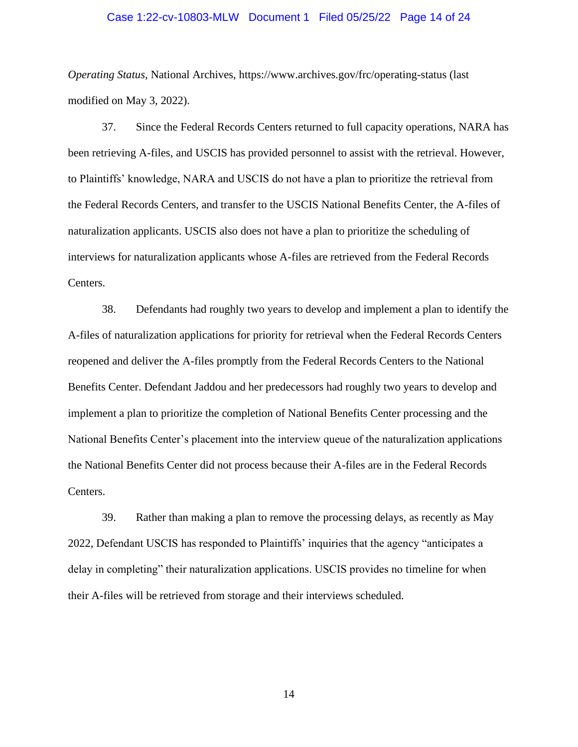### Case 1:22-cv-10803-MLW Document 1 Filed 05/25/22 Page 14 of 24

*Operating Status*, National Archives, https://www.archives.gov/frc/operating-status (last modified on May 3, 2022).

37. Since the Federal Records Centers returned to full capacity operations, NARA has been retrieving A-files, and USCIS has provided personnel to assist with the retrieval. However, to Plaintiffs' knowledge, NARA and USCIS do not have a plan to prioritize the retrieval from the Federal Records Centers, and transfer to the USCIS National Benefits Center, the A-files of naturalization applicants. USCIS also does not have a plan to prioritize the scheduling of interviews for naturalization applicants whose A-files are retrieved from the Federal Records Centers.

38. Defendants had roughly two years to develop and implement a plan to identify the A-files of naturalization applications for priority for retrieval when the Federal Records Centers reopened and deliver the A-files promptly from the Federal Records Centers to the National Benefits Center. Defendant Jaddou and her predecessors had roughly two years to develop and implement a plan to prioritize the completion of National Benefits Center processing and the National Benefits Center's placement into the interview queue of the naturalization applications the National Benefits Center did not process because their A-files are in the Federal Records Centers.

39. Rather than making a plan to remove the processing delays, as recently as May 2022, Defendant USCIS has responded to Plaintiffs' inquiries that the agency "anticipates a delay in completing" their naturalization applications. USCIS provides no timeline for when their A-files will be retrieved from storage and their interviews scheduled.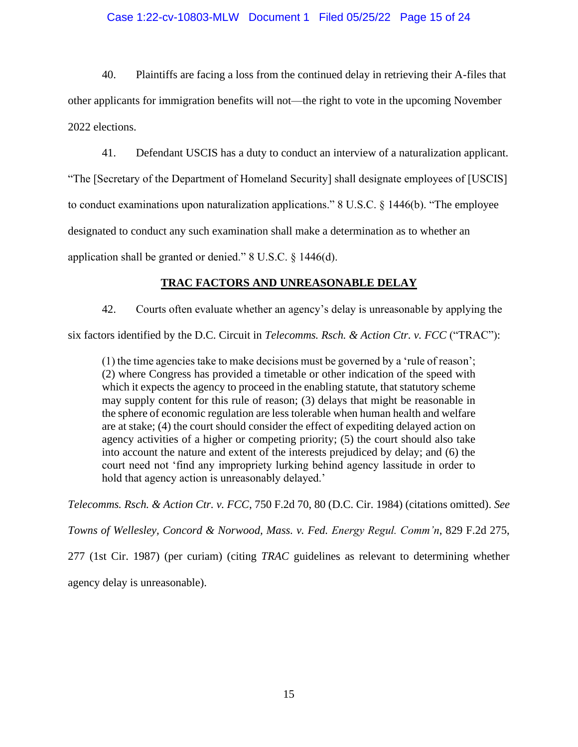# Case 1:22-cv-10803-MLW Document 1 Filed 05/25/22 Page 15 of 24

40. Plaintiffs are facing a loss from the continued delay in retrieving their A-files that other applicants for immigration benefits will not—the right to vote in the upcoming November 2022 elections.

41. Defendant USCIS has a duty to conduct an interview of a naturalization applicant. "The [Secretary of the Department of Homeland Security] shall designate employees of [USCIS] to conduct examinations upon naturalization applications." 8 U.S.C. § 1446(b). "The employee designated to conduct any such examination shall make a determination as to whether an application shall be granted or denied." 8 U.S.C. § 1446(d).

# **TRAC FACTORS AND UNREASONABLE DELAY**

42. Courts often evaluate whether an agency's delay is unreasonable by applying the

six factors identified by the D.C. Circuit in *Telecomms. Rsch. & Action Ctr. v. FCC* ("TRAC"):

(1) the time agencies take to make decisions must be governed by a 'rule of reason'; (2) where Congress has provided a timetable or other indication of the speed with which it expects the agency to proceed in the enabling statute, that statutory scheme may supply content for this rule of reason; (3) delays that might be reasonable in the sphere of economic regulation are less tolerable when human health and welfare are at stake; (4) the court should consider the effect of expediting delayed action on agency activities of a higher or competing priority; (5) the court should also take into account the nature and extent of the interests prejudiced by delay; and (6) the court need not 'find any impropriety lurking behind agency lassitude in order to hold that agency action is unreasonably delayed.'

*Telecomms. Rsch. & Action Ctr. v. FCC*, 750 F.2d 70, 80 (D.C. Cir. 1984) (citations omitted). *See* 

*Towns of Wellesley, Concord & Norwood, Mass. v. Fed. Energy Regul. Comm'n*, 829 F.2d 275,

277 (1st Cir. 1987) (per curiam) (citing *TRAC* guidelines as relevant to determining whether agency delay is unreasonable).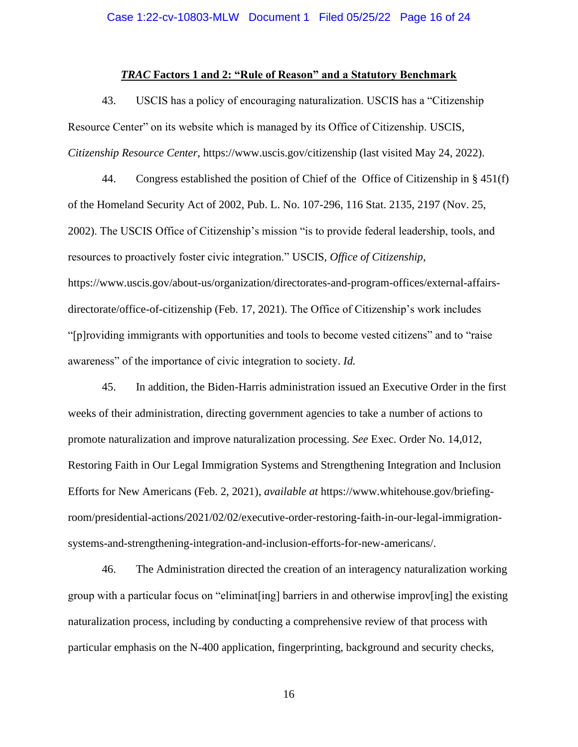#### *TRAC* **Factors 1 and 2: "Rule of Reason" and a Statutory Benchmark**

43. USCIS has a policy of encouraging naturalization. USCIS has a "Citizenship Resource Center" on its website which is managed by its Office of Citizenship. USCIS, *Citizenship Resource Center*, https://www.uscis.gov/citizenship (last visited May 24, 2022).

44. Congress established the position of Chief of the Office of Citizenship in § 451(f) of the Homeland Security Act of 2002, Pub. L. No. 107-296, 116 Stat. 2135, 2197 (Nov. 25, 2002). The USCIS Office of Citizenship's mission "is to provide federal leadership, tools, and resources to proactively foster civic integration." USCIS, *Office of Citizenship*, https://www.uscis.gov/about-us/organization/directorates-and-program-offices/external-affairsdirectorate/office-of-citizenship (Feb. 17, 2021). The Office of Citizenship's work includes "[p]roviding immigrants with opportunities and tools to become vested citizens" and to "raise awareness" of the importance of civic integration to society. *Id.*

45. In addition, the Biden-Harris administration issued an Executive Order in the first weeks of their administration, directing government agencies to take a number of actions to promote naturalization and improve naturalization processing. *See* Exec. Order No. 14,012, Restoring Faith in Our Legal Immigration Systems and Strengthening Integration and Inclusion Efforts for New Americans (Feb. 2, 2021), *available at* https://www.whitehouse.gov/briefingroom/presidential-actions/2021/02/02/executive-order-restoring-faith-in-our-legal-immigrationsystems-and-strengthening-integration-and-inclusion-efforts-for-new-americans/.

46. The Administration directed the creation of an interagency naturalization working group with a particular focus on "eliminat[ing] barriers in and otherwise improv[ing] the existing naturalization process, including by conducting a comprehensive review of that process with particular emphasis on the N-400 application, fingerprinting, background and security checks,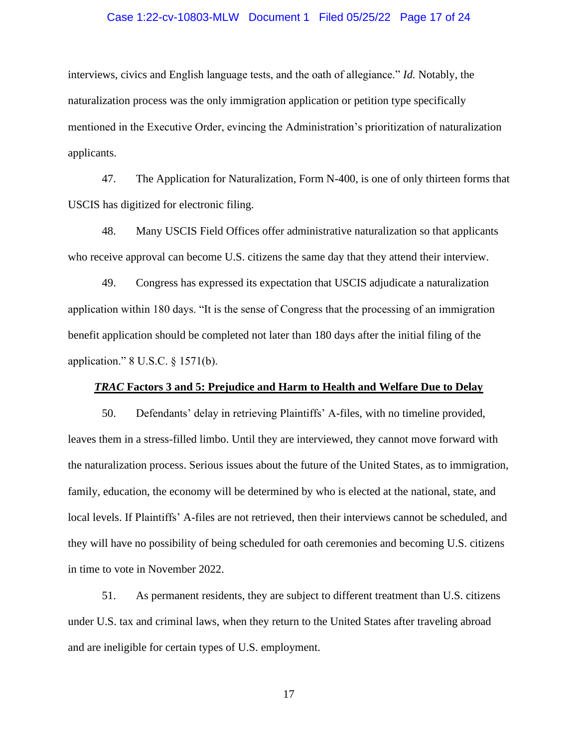## Case 1:22-cv-10803-MLW Document 1 Filed 05/25/22 Page 17 of 24

interviews, civics and English language tests, and the oath of allegiance." *Id.* Notably, the naturalization process was the only immigration application or petition type specifically mentioned in the Executive Order, evincing the Administration's prioritization of naturalization applicants.

47. The Application for Naturalization, Form N-400, is one of only thirteen forms that USCIS has digitized for electronic filing.

48. Many USCIS Field Offices offer administrative naturalization so that applicants who receive approval can become U.S. citizens the same day that they attend their interview.

49. Congress has expressed its expectation that USCIS adjudicate a naturalization application within 180 days. "It is the sense of Congress that the processing of an immigration benefit application should be completed not later than 180 days after the initial filing of the application." 8 U.S.C. § 1571(b).

### *TRAC* **Factors 3 and 5: Prejudice and Harm to Health and Welfare Due to Delay**

50. Defendants' delay in retrieving Plaintiffs' A-files, with no timeline provided, leaves them in a stress-filled limbo. Until they are interviewed, they cannot move forward with the naturalization process. Serious issues about the future of the United States, as to immigration, family, education, the economy will be determined by who is elected at the national, state, and local levels. If Plaintiffs' A-files are not retrieved, then their interviews cannot be scheduled, and they will have no possibility of being scheduled for oath ceremonies and becoming U.S. citizens in time to vote in November 2022.

51. As permanent residents, they are subject to different treatment than U.S. citizens under U.S. tax and criminal laws, when they return to the United States after traveling abroad and are ineligible for certain types of U.S. employment.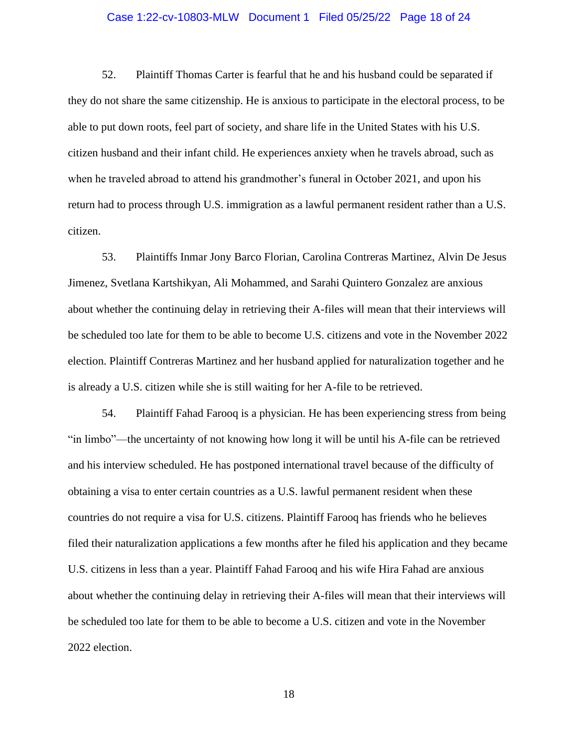## Case 1:22-cv-10803-MLW Document 1 Filed 05/25/22 Page 18 of 24

52. Plaintiff Thomas Carter is fearful that he and his husband could be separated if they do not share the same citizenship. He is anxious to participate in the electoral process, to be able to put down roots, feel part of society, and share life in the United States with his U.S. citizen husband and their infant child. He experiences anxiety when he travels abroad, such as when he traveled abroad to attend his grandmother's funeral in October 2021, and upon his return had to process through U.S. immigration as a lawful permanent resident rather than a U.S. citizen.

53. Plaintiffs Inmar Jony Barco Florian, Carolina Contreras Martinez, Alvin De Jesus Jimenez, Svetlana Kartshikyan, Ali Mohammed, and Sarahi Quintero Gonzalez are anxious about whether the continuing delay in retrieving their A-files will mean that their interviews will be scheduled too late for them to be able to become U.S. citizens and vote in the November 2022 election. Plaintiff Contreras Martinez and her husband applied for naturalization together and he is already a U.S. citizen while she is still waiting for her A-file to be retrieved.

54. Plaintiff Fahad Farooq is a physician. He has been experiencing stress from being "in limbo"—the uncertainty of not knowing how long it will be until his A-file can be retrieved and his interview scheduled. He has postponed international travel because of the difficulty of obtaining a visa to enter certain countries as a U.S. lawful permanent resident when these countries do not require a visa for U.S. citizens. Plaintiff Farooq has friends who he believes filed their naturalization applications a few months after he filed his application and they became U.S. citizens in less than a year. Plaintiff Fahad Farooq and his wife Hira Fahad are anxious about whether the continuing delay in retrieving their A-files will mean that their interviews will be scheduled too late for them to be able to become a U.S. citizen and vote in the November 2022 election.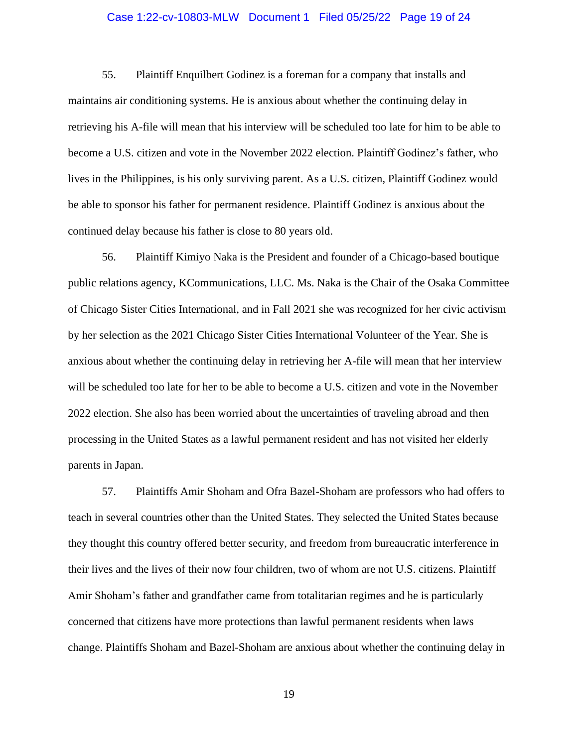## Case 1:22-cv-10803-MLW Document 1 Filed 05/25/22 Page 19 of 24

55. Plaintiff Enquilbert Godinez is a foreman for a company that installs and maintains air conditioning systems. He is anxious about whether the continuing delay in retrieving his A-file will mean that his interview will be scheduled too late for him to be able to become a U.S. citizen and vote in the November 2022 election. Plaintiff Godinez's father, who lives in the Philippines, is his only surviving parent. As a U.S. citizen, Plaintiff Godinez would be able to sponsor his father for permanent residence. Plaintiff Godinez is anxious about the continued delay because his father is close to 80 years old.

56. Plaintiff Kimiyo Naka is the President and founder of a Chicago-based boutique public relations agency, KCommunications, LLC. Ms. Naka is the Chair of the Osaka Committee of Chicago Sister Cities International, and in Fall 2021 she was recognized for her civic activism by her selection as the 2021 Chicago Sister Cities International Volunteer of the Year. She is anxious about whether the continuing delay in retrieving her A-file will mean that her interview will be scheduled too late for her to be able to become a U.S. citizen and vote in the November 2022 election. She also has been worried about the uncertainties of traveling abroad and then processing in the United States as a lawful permanent resident and has not visited her elderly parents in Japan.

57. Plaintiffs Amir Shoham and Ofra Bazel-Shoham are professors who had offers to teach in several countries other than the United States. They selected the United States because they thought this country offered better security, and freedom from bureaucratic interference in their lives and the lives of their now four children, two of whom are not U.S. citizens. Plaintiff Amir Shoham's father and grandfather came from totalitarian regimes and he is particularly concerned that citizens have more protections than lawful permanent residents when laws change. Plaintiffs Shoham and Bazel-Shoham are anxious about whether the continuing delay in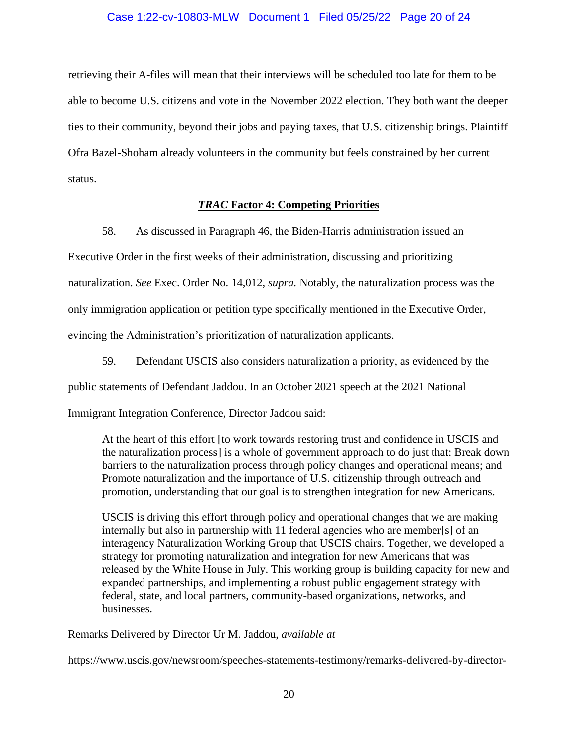## Case 1:22-cv-10803-MLW Document 1 Filed 05/25/22 Page 20 of 24

retrieving their A-files will mean that their interviews will be scheduled too late for them to be able to become U.S. citizens and vote in the November 2022 election. They both want the deeper ties to their community, beyond their jobs and paying taxes, that U.S. citizenship brings. Plaintiff Ofra Bazel-Shoham already volunteers in the community but feels constrained by her current status.

# *TRAC* **Factor 4: Competing Priorities**

58. As discussed in Paragraph 46, the Biden-Harris administration issued an Executive Order in the first weeks of their administration, discussing and prioritizing naturalization. *See* Exec. Order No. 14,012, *supra.* Notably, the naturalization process was the only immigration application or petition type specifically mentioned in the Executive Order, evincing the Administration's prioritization of naturalization applicants.

59. Defendant USCIS also considers naturalization a priority, as evidenced by the public statements of Defendant Jaddou. In an October 2021 speech at the 2021 National Immigrant Integration Conference, Director Jaddou said:

At the heart of this effort [to work towards restoring trust and confidence in USCIS and the naturalization process] is a whole of government approach to do just that: Break down barriers to the naturalization process through policy changes and operational means; and Promote naturalization and the importance of U.S. citizenship through outreach and promotion, understanding that our goal is to strengthen integration for new Americans.

USCIS is driving this effort through policy and operational changes that we are making internally but also in partnership with 11 federal agencies who are member[s] of an interagency Naturalization Working Group that USCIS chairs. Together, we developed a strategy for promoting naturalization and integration for new Americans that was released by the White House in July. This working group is building capacity for new and expanded partnerships, and implementing a robust public engagement strategy with federal, state, and local partners, community-based organizations, networks, and businesses.

Remarks Delivered by Director Ur M. Jaddou, *available at*

https://www.uscis.gov/newsroom/speeches-statements-testimony/remarks-delivered-by-director-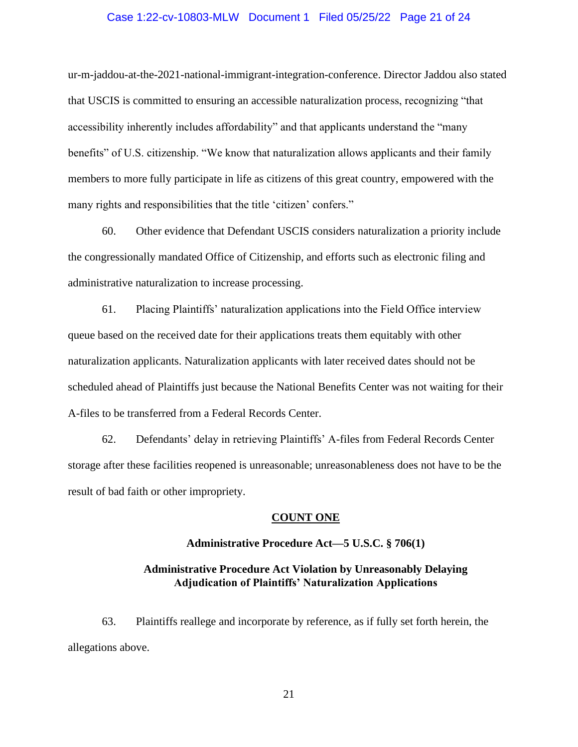## Case 1:22-cv-10803-MLW Document 1 Filed 05/25/22 Page 21 of 24

ur-m-jaddou-at-the-2021-national-immigrant-integration-conference. Director Jaddou also stated that USCIS is committed to ensuring an accessible naturalization process, recognizing "that accessibility inherently includes affordability" and that applicants understand the "many benefits" of U.S. citizenship. "We know that naturalization allows applicants and their family members to more fully participate in life as citizens of this great country, empowered with the many rights and responsibilities that the title 'citizen' confers."

60. Other evidence that Defendant USCIS considers naturalization a priority include the congressionally mandated Office of Citizenship, and efforts such as electronic filing and administrative naturalization to increase processing.

61. Placing Plaintiffs' naturalization applications into the Field Office interview queue based on the received date for their applications treats them equitably with other naturalization applicants. Naturalization applicants with later received dates should not be scheduled ahead of Plaintiffs just because the National Benefits Center was not waiting for their A-files to be transferred from a Federal Records Center.

62. Defendants' delay in retrieving Plaintiffs' A-files from Federal Records Center storage after these facilities reopened is unreasonable; unreasonableness does not have to be the result of bad faith or other impropriety.

#### **COUNT ONE**

### **Administrative Procedure Act—5 U.S.C. § 706(1)**

# **Administrative Procedure Act Violation by Unreasonably Delaying Adjudication of Plaintiffs' Naturalization Applications**

63. Plaintiffs reallege and incorporate by reference, as if fully set forth herein, the allegations above.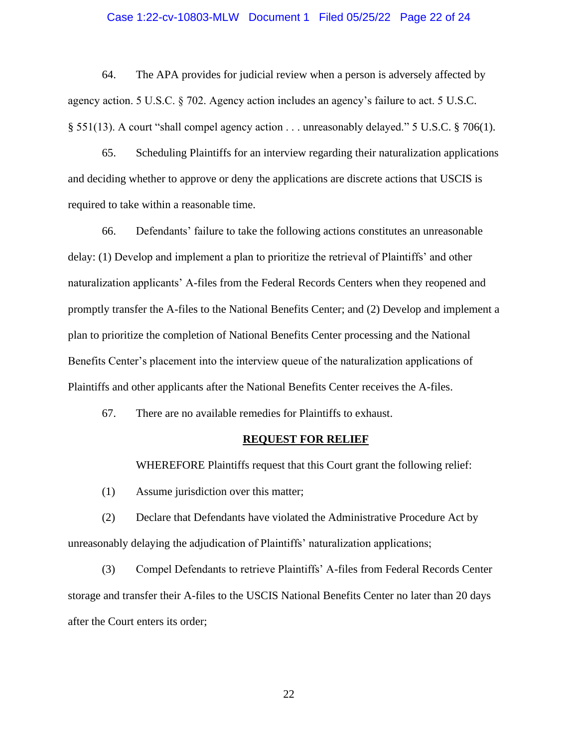### Case 1:22-cv-10803-MLW Document 1 Filed 05/25/22 Page 22 of 24

64. The APA provides for judicial review when a person is adversely affected by agency action. 5 U.S.C. § 702. Agency action includes an agency's failure to act. 5 U.S.C. § 551(13). A court "shall compel agency action . . . unreasonably delayed." 5 U.S.C. § 706(1).

65. Scheduling Plaintiffs for an interview regarding their naturalization applications and deciding whether to approve or deny the applications are discrete actions that USCIS is required to take within a reasonable time.

66. Defendants' failure to take the following actions constitutes an unreasonable delay: (1) Develop and implement a plan to prioritize the retrieval of Plaintiffs' and other naturalization applicants' A-files from the Federal Records Centers when they reopened and promptly transfer the A-files to the National Benefits Center; and (2) Develop and implement a plan to prioritize the completion of National Benefits Center processing and the National Benefits Center's placement into the interview queue of the naturalization applications of Plaintiffs and other applicants after the National Benefits Center receives the A-files.

67. There are no available remedies for Plaintiffs to exhaust.

#### **REQUEST FOR RELIEF**

WHEREFORE Plaintiffs request that this Court grant the following relief:

(1) Assume jurisdiction over this matter;

(2) Declare that Defendants have violated the Administrative Procedure Act by unreasonably delaying the adjudication of Plaintiffs' naturalization applications;

(3) Compel Defendants to retrieve Plaintiffs' A-files from Federal Records Center storage and transfer their A-files to the USCIS National Benefits Center no later than 20 days after the Court enters its order;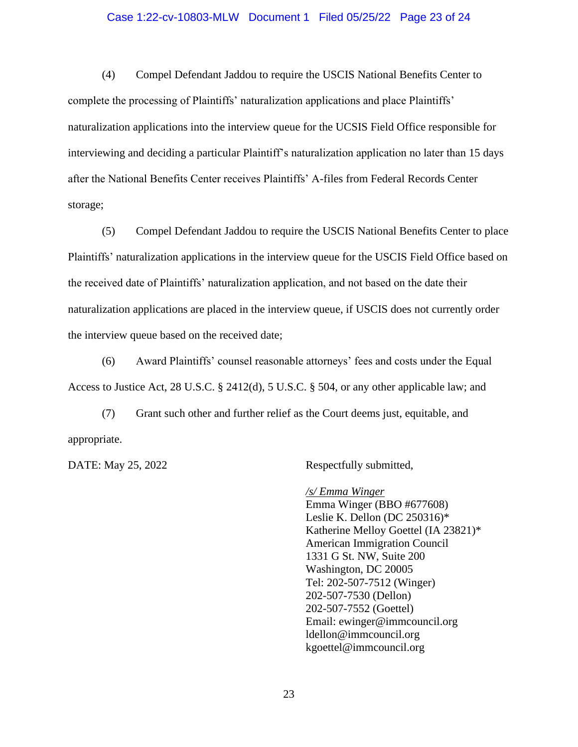## Case 1:22-cv-10803-MLW Document 1 Filed 05/25/22 Page 23 of 24

(4) Compel Defendant Jaddou to require the USCIS National Benefits Center to complete the processing of Plaintiffs' naturalization applications and place Plaintiffs' naturalization applications into the interview queue for the UCSIS Field Office responsible for interviewing and deciding a particular Plaintiff's naturalization application no later than 15 days after the National Benefits Center receives Plaintiffs' A-files from Federal Records Center storage;

(5) Compel Defendant Jaddou to require the USCIS National Benefits Center to place Plaintiffs' naturalization applications in the interview queue for the USCIS Field Office based on the received date of Plaintiffs' naturalization application, and not based on the date their naturalization applications are placed in the interview queue, if USCIS does not currently order the interview queue based on the received date;

(6) Award Plaintiffs' counsel reasonable attorneys' fees and costs under the Equal Access to Justice Act, 28 U.S.C. § 2412(d), 5 U.S.C. § 504, or any other applicable law; and

(7) Grant such other and further relief as the Court deems just, equitable, and appropriate.

DATE: May 25, 2022 Respectfully submitted,

*/s/ Emma Winger* Emma Winger (BBO #677608) Leslie K. Dellon (DC 250316)\* Katherine Melloy Goettel (IA 23821)\* American Immigration Council 1331 G St. NW, Suite 200 Washington, DC 20005 Tel: 202-507-7512 (Winger) 202-507-7530 (Dellon) 202-507-7552 (Goettel) Email: ewinger@immcouncil.org ldellon@immcouncil.org kgoettel@immcouncil.org